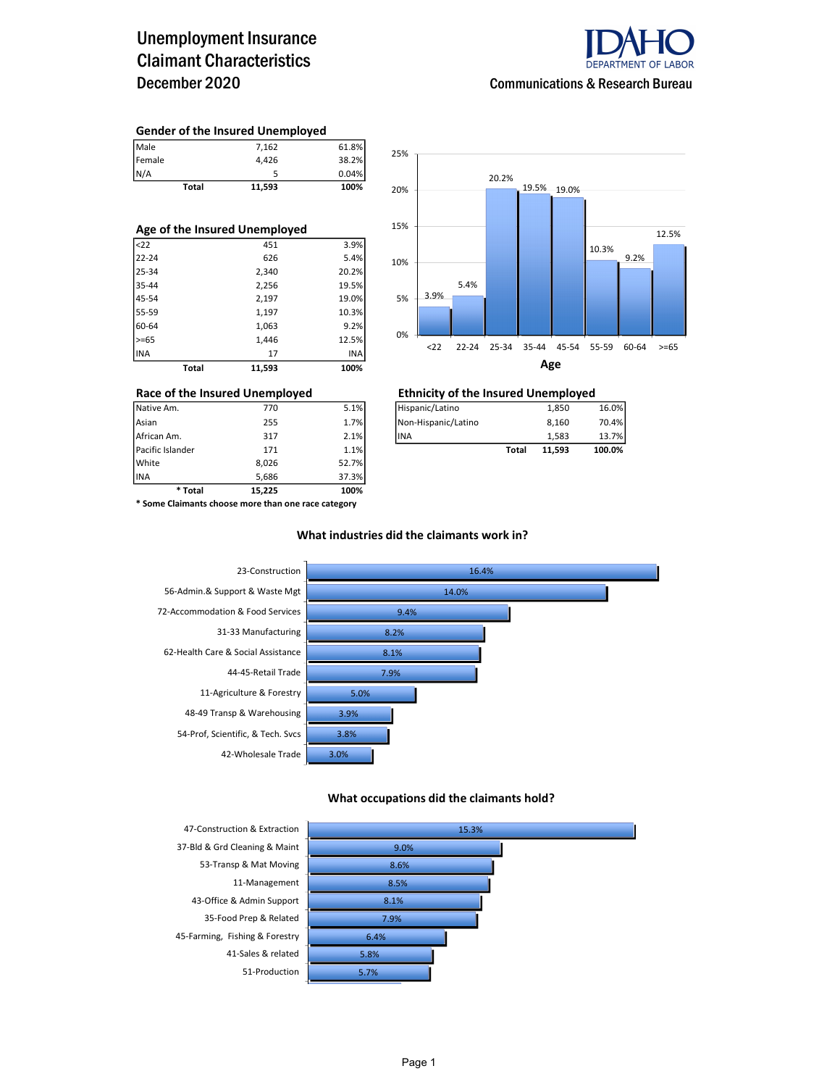## Unemployment Insurance Claimant Characteristics December 2020



#### Gender of the Insured Unemployed

| Male         | 7,162  | 61.8% |
|--------------|--------|-------|
| Female       | 4.426  | 38.2% |
| N/A          |        | 0.04% |
| <b>Total</b> | 11,593 | 100%  |

| Age of the Insured Unemployed |       |        |       |  |  |  |  |  |
|-------------------------------|-------|--------|-------|--|--|--|--|--|
| $22$                          |       | 451    | 3.9%  |  |  |  |  |  |
| $22 - 24$                     |       | 626    | 5.4%  |  |  |  |  |  |
| 25-34                         |       | 2,340  | 20.2% |  |  |  |  |  |
| 35-44                         |       | 2,256  | 19.5% |  |  |  |  |  |
| 45-54                         |       | 2,197  | 19.0% |  |  |  |  |  |
| 55-59                         |       | 1,197  | 10.3% |  |  |  |  |  |
| 60-64                         |       | 1,063  | 9.2%  |  |  |  |  |  |
| $>= 65$                       |       | 1,446  | 12.5% |  |  |  |  |  |
| <b>INA</b>                    |       | 17     | INA   |  |  |  |  |  |
|                               | Total | 11,593 | 100%  |  |  |  |  |  |



| * Total          | 15.225 | 100%  |                     |              |        |        |
|------------------|--------|-------|---------------------|--------------|--------|--------|
| <b>INA</b>       | 5.686  | 37.3% |                     |              |        |        |
| White            | 8.026  | 52.7% |                     |              |        |        |
| Pacific Islander | 171    | 1.1%  |                     | <b>Total</b> | 11,593 | 100.0% |
| African Am.      | 317    | 2.1%  | lina                |              | 1.583  | 13.7%  |
| Asian            | 255    | 1.7%  | Non-Hispanic/Latino |              |        | 70.4%  |
| Native Am.       | 770    | 5.1%  | Hispanic/Latino     |              | 1,850  | 16.0%  |

### Race of the Insured Unemployed Ethnicity of the Insured Unemployed

| Pacific Islander | 171 | 1.1% |                     | Total | 11.593 | 100.0% |
|------------------|-----|------|---------------------|-------|--------|--------|
| African Am.      | 317 | 2.1% | lina                |       | 1.583  | 13.7%  |
| Asian            | 255 | 1.7% | Non-Hispanic/Latino |       | 8.160  | 70.4%  |
| Native Am.       | 770 | 5.1% | Hispanic/Latino     |       | 1,850  | 16.0%  |

\* Some Claimants choose more than one race category

### What industries did the claimants work in?



#### What occupations did the claimants hold?

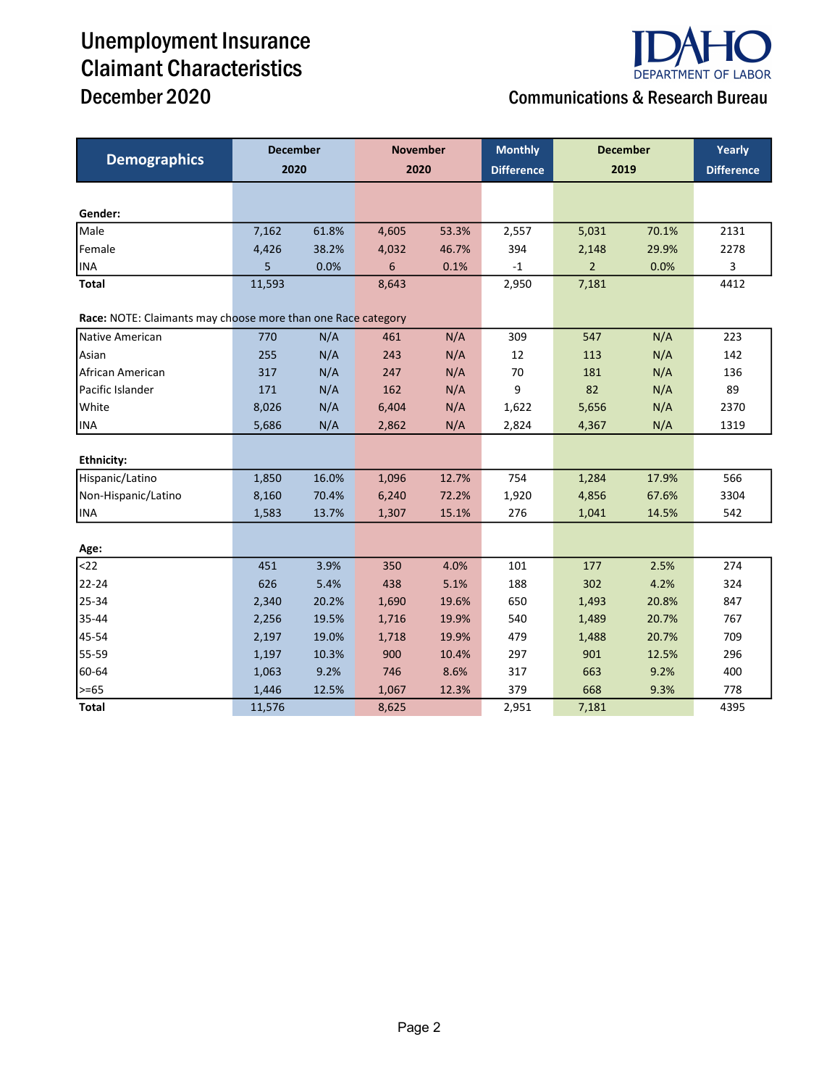# Unemployment Insurance Claimant Characteristics



## December 2020 Communications & Research Bureau

| <b>Demographics</b>                                          | <b>December</b> |       | <b>November</b> |       | <b>Monthly</b>    | <b>December</b> |       | Yearly            |
|--------------------------------------------------------------|-----------------|-------|-----------------|-------|-------------------|-----------------|-------|-------------------|
|                                                              | 2020            |       | 2020            |       | <b>Difference</b> | 2019            |       | <b>Difference</b> |
|                                                              |                 |       |                 |       |                   |                 |       |                   |
| Gender:                                                      |                 |       |                 |       |                   |                 |       |                   |
| Male                                                         | 7,162           | 61.8% | 4,605           | 53.3% | 2,557             | 5,031           | 70.1% | 2131              |
| Female                                                       | 4,426           | 38.2% | 4,032           | 46.7% | 394               | 2,148           | 29.9% | 2278              |
| <b>INA</b>                                                   | 5               | 0.0%  | 6               | 0.1%  | $-1$              | $\overline{2}$  | 0.0%  | 3                 |
| <b>Total</b>                                                 | 11,593          |       | 8,643           |       | 2,950             | 7,181           |       | 4412              |
| Race: NOTE: Claimants may choose more than one Race category |                 |       |                 |       |                   |                 |       |                   |
| Native American                                              | 770             | N/A   | 461             | N/A   | 309               | 547             | N/A   | 223               |
| Asian                                                        | 255             | N/A   | 243             | N/A   | 12                | 113             | N/A   | 142               |
| African American                                             | 317             | N/A   | 247             | N/A   | 70                | 181             | N/A   | 136               |
| Pacific Islander                                             | 171             | N/A   | 162             | N/A   | 9                 | 82              | N/A   | 89                |
| White                                                        | 8,026           | N/A   | 6,404           | N/A   | 1,622             | 5,656           | N/A   | 2370              |
| <b>INA</b>                                                   | 5,686           | N/A   | 2,862           | N/A   | 2,824             | 4,367           | N/A   | 1319              |
|                                                              |                 |       |                 |       |                   |                 |       |                   |
| <b>Ethnicity:</b>                                            |                 |       |                 |       |                   |                 |       |                   |
| Hispanic/Latino                                              | 1,850           | 16.0% | 1,096           | 12.7% | 754               | 1,284           | 17.9% | 566               |
| Non-Hispanic/Latino                                          | 8,160           | 70.4% | 6,240           | 72.2% | 1,920             | 4,856           | 67.6% | 3304              |
| <b>INA</b>                                                   | 1,583           | 13.7% | 1,307           | 15.1% | 276               | 1,041           | 14.5% | 542               |
|                                                              |                 |       |                 |       |                   |                 |       |                   |
| Age:                                                         |                 |       |                 |       |                   |                 |       |                   |
| $22$                                                         | 451             | 3.9%  | 350             | 4.0%  | 101               | 177             | 2.5%  | 274               |
| 22-24                                                        | 626             | 5.4%  | 438             | 5.1%  | 188               | 302             | 4.2%  | 324               |
| 25-34                                                        | 2,340           | 20.2% | 1,690           | 19.6% | 650               | 1,493           | 20.8% | 847               |
| 35-44                                                        | 2,256           | 19.5% | 1,716           | 19.9% | 540               | 1,489           | 20.7% | 767               |
| 45-54                                                        | 2,197           | 19.0% | 1,718           | 19.9% | 479               | 1,488           | 20.7% | 709               |
| 55-59                                                        | 1,197           | 10.3% | 900             | 10.4% | 297               | 901             | 12.5% | 296               |
| 60-64                                                        | 1,063           | 9.2%  | 746             | 8.6%  | 317               | 663             | 9.2%  | 400               |
| $>= 65$                                                      | 1,446           | 12.5% | 1,067           | 12.3% | 379               | 668             | 9.3%  | 778               |
| <b>Total</b>                                                 | 11,576          |       | 8,625           |       | 2,951             | 7,181           |       | 4395              |